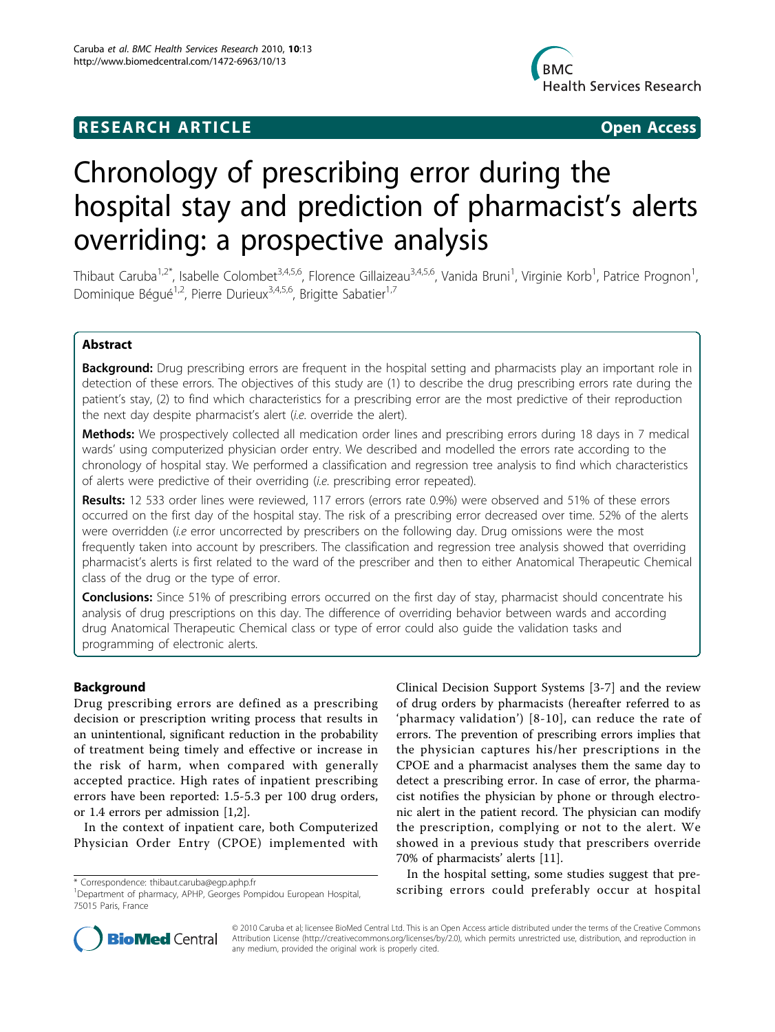## **RESEARCH ARTICLE Example 2018 Open Access**



# Chronology of prescribing error during the hospital stay and prediction of pharmacist's alerts overriding: a prospective analysis

Thibaut Caruba<sup>1,2\*</sup>, Isabelle Colombet<sup>3,4,5,6</sup>, Florence Gillaizeau<sup>3,4,5,6</sup>, Vanida Bruni<sup>1</sup>, Virginie Korb<sup>1</sup>, Patrice Prognon<sup>1</sup> , Dominique Béqué<sup>1,2</sup>, Pierre Durieux<sup>3,4,5,6</sup>, Brigitte Sabatier<sup>1,7</sup>

## Abstract

**Background:** Drug prescribing errors are frequent in the hospital setting and pharmacists play an important role in detection of these errors. The objectives of this study are (1) to describe the drug prescribing errors rate during the patient's stay, (2) to find which characteristics for a prescribing error are the most predictive of their reproduction the next day despite pharmacist's alert (i.e. override the alert).

Methods: We prospectively collected all medication order lines and prescribing errors during 18 days in 7 medical wards' using computerized physician order entry. We described and modelled the errors rate according to the chronology of hospital stay. We performed a classification and regression tree analysis to find which characteristics of alerts were predictive of their overriding (i.e. prescribing error repeated).

Results: 12 533 order lines were reviewed, 117 errors (errors rate 0.9%) were observed and 51% of these errors occurred on the first day of the hospital stay. The risk of a prescribing error decreased over time. 52% of the alerts were overridden (i.e error uncorrected by prescribers on the following day. Drug omissions were the most frequently taken into account by prescribers. The classification and regression tree analysis showed that overriding pharmacist's alerts is first related to the ward of the prescriber and then to either Anatomical Therapeutic Chemical class of the drug or the type of error.

Conclusions: Since 51% of prescribing errors occurred on the first day of stay, pharmacist should concentrate his analysis of drug prescriptions on this day. The difference of overriding behavior between wards and according drug Anatomical Therapeutic Chemical class or type of error could also guide the validation tasks and programming of electronic alerts.

## Background

Drug prescribing errors are defined as a prescribing decision or prescription writing process that results in an unintentional, significant reduction in the probability of treatment being timely and effective or increase in the risk of harm, when compared with generally accepted practice. High rates of inpatient prescribing errors have been reported: 1.5-5.3 per 100 drug orders, or 1.4 errors per admission [[1,2\]](#page-9-0).

In the context of inpatient care, both Computerized Physician Order Entry (CPOE) implemented with

Clinical Decision Support Systems [\[3](#page-9-0)-[7\]](#page-9-0) and the review of drug orders by pharmacists (hereafter referred to as 'pharmacy validation') [[8](#page-9-0)-[10\]](#page-9-0), can reduce the rate of errors. The prevention of prescribing errors implies that the physician captures his/her prescriptions in the CPOE and a pharmacist analyses them the same day to detect a prescribing error. In case of error, the pharmacist notifies the physician by phone or through electronic alert in the patient record. The physician can modify the prescription, complying or not to the alert. We showed in a previous study that prescribers override 70% of pharmacists' alerts [[11\]](#page-9-0).

In the hospital setting, some studies suggest that prescribing errors could preferably occur at hospital \* Correspondence: thibaut.caruba@egp.aphp.fr



© 2010 Caruba et al; licensee BioMed Central Ltd. This is an Open Access article distributed under the terms of the Creative Commons Attribution License (http://creativecommons.org/licenses/by/2.0), which permits unrestricted use, distribution, and reproduction in any medium, provided the original work is properly cited.

<sup>1</sup> Department of pharmacy, APHP, Georges Pompidou European Hospital, 75015 Paris, France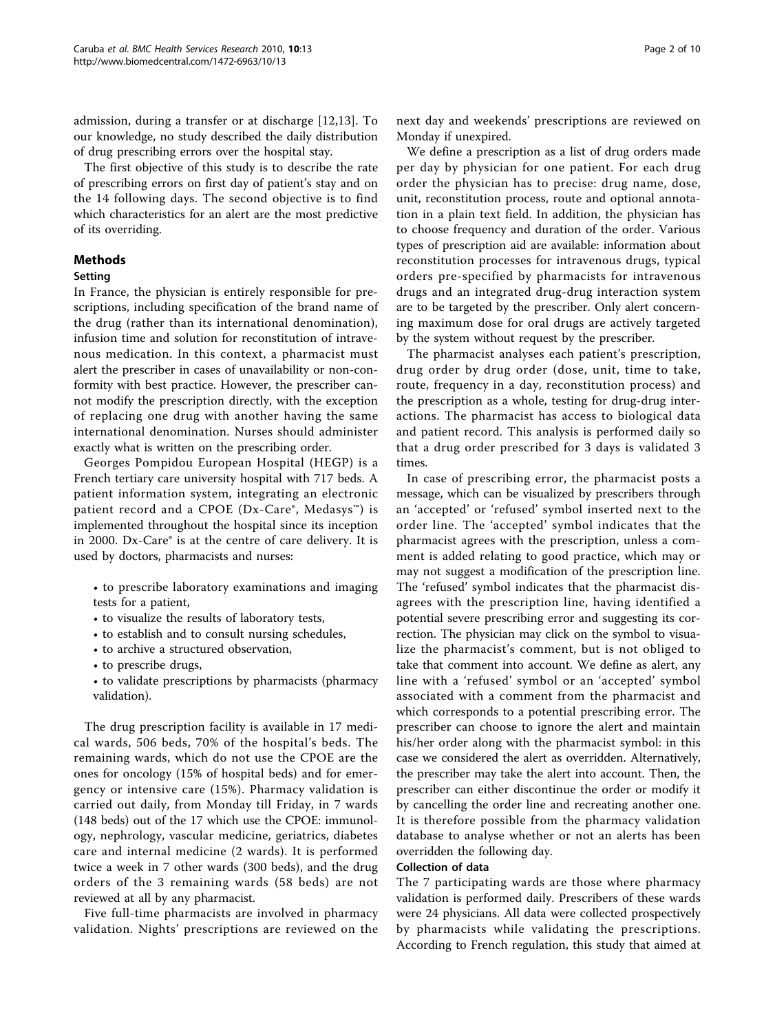admission, during a transfer or at discharge [[12,13\]](#page-9-0). To our knowledge, no study described the daily distribution of drug prescribing errors over the hospital stay.

The first objective of this study is to describe the rate of prescribing errors on first day of patient's stay and on the 14 following days. The second objective is to find which characteristics for an alert are the most predictive of its overriding.

## Methods

## Setting

In France, the physician is entirely responsible for prescriptions, including specification of the brand name of the drug (rather than its international denomination), infusion time and solution for reconstitution of intravenous medication. In this context, a pharmacist must alert the prescriber in cases of unavailability or non-conformity with best practice. However, the prescriber cannot modify the prescription directly, with the exception of replacing one drug with another having the same international denomination. Nurses should administer exactly what is written on the prescribing order.

Georges Pompidou European Hospital (HEGP) is a French tertiary care university hospital with 717 beds. A patient information system, integrating an electronic patient record and a CPOE (Dx-Care®, Medasys™) is implemented throughout the hospital since its inception in 2000. Dx-Care® is at the centre of care delivery. It is used by doctors, pharmacists and nurses:

• to prescribe laboratory examinations and imaging tests for a patient,

- to visualize the results of laboratory tests,
- to establish and to consult nursing schedules,
- to archive a structured observation,
- to prescribe drugs,
- to validate prescriptions by pharmacists (pharmacy validation).

The drug prescription facility is available in 17 medical wards, 506 beds, 70% of the hospital's beds. The remaining wards, which do not use the CPOE are the ones for oncology (15% of hospital beds) and for emergency or intensive care (15%). Pharmacy validation is carried out daily, from Monday till Friday, in 7 wards (148 beds) out of the 17 which use the CPOE: immunology, nephrology, vascular medicine, geriatrics, diabetes care and internal medicine (2 wards). It is performed twice a week in 7 other wards (300 beds), and the drug orders of the 3 remaining wards (58 beds) are not reviewed at all by any pharmacist.

Five full-time pharmacists are involved in pharmacy validation. Nights' prescriptions are reviewed on the next day and weekends' prescriptions are reviewed on Monday if unexpired.

We define a prescription as a list of drug orders made per day by physician for one patient. For each drug order the physician has to precise: drug name, dose, unit, reconstitution process, route and optional annotation in a plain text field. In addition, the physician has to choose frequency and duration of the order. Various types of prescription aid are available: information about reconstitution processes for intravenous drugs, typical orders pre-specified by pharmacists for intravenous drugs and an integrated drug-drug interaction system are to be targeted by the prescriber. Only alert concerning maximum dose for oral drugs are actively targeted by the system without request by the prescriber.

The pharmacist analyses each patient's prescription, drug order by drug order (dose, unit, time to take, route, frequency in a day, reconstitution process) and the prescription as a whole, testing for drug-drug interactions. The pharmacist has access to biological data and patient record. This analysis is performed daily so that a drug order prescribed for 3 days is validated 3 times.

In case of prescribing error, the pharmacist posts a message, which can be visualized by prescribers through an 'accepted' or 'refused' symbol inserted next to the order line. The 'accepted' symbol indicates that the pharmacist agrees with the prescription, unless a comment is added relating to good practice, which may or may not suggest a modification of the prescription line. The 'refused' symbol indicates that the pharmacist disagrees with the prescription line, having identified a potential severe prescribing error and suggesting its correction. The physician may click on the symbol to visualize the pharmacist's comment, but is not obliged to take that comment into account. We define as alert, any line with a 'refused' symbol or an 'accepted' symbol associated with a comment from the pharmacist and which corresponds to a potential prescribing error. The prescriber can choose to ignore the alert and maintain his/her order along with the pharmacist symbol: in this case we considered the alert as overridden. Alternatively, the prescriber may take the alert into account. Then, the prescriber can either discontinue the order or modify it by cancelling the order line and recreating another one. It is therefore possible from the pharmacy validation database to analyse whether or not an alerts has been overridden the following day.

## Collection of data

The 7 participating wards are those where pharmacy validation is performed daily. Prescribers of these wards were 24 physicians. All data were collected prospectively by pharmacists while validating the prescriptions. According to French regulation, this study that aimed at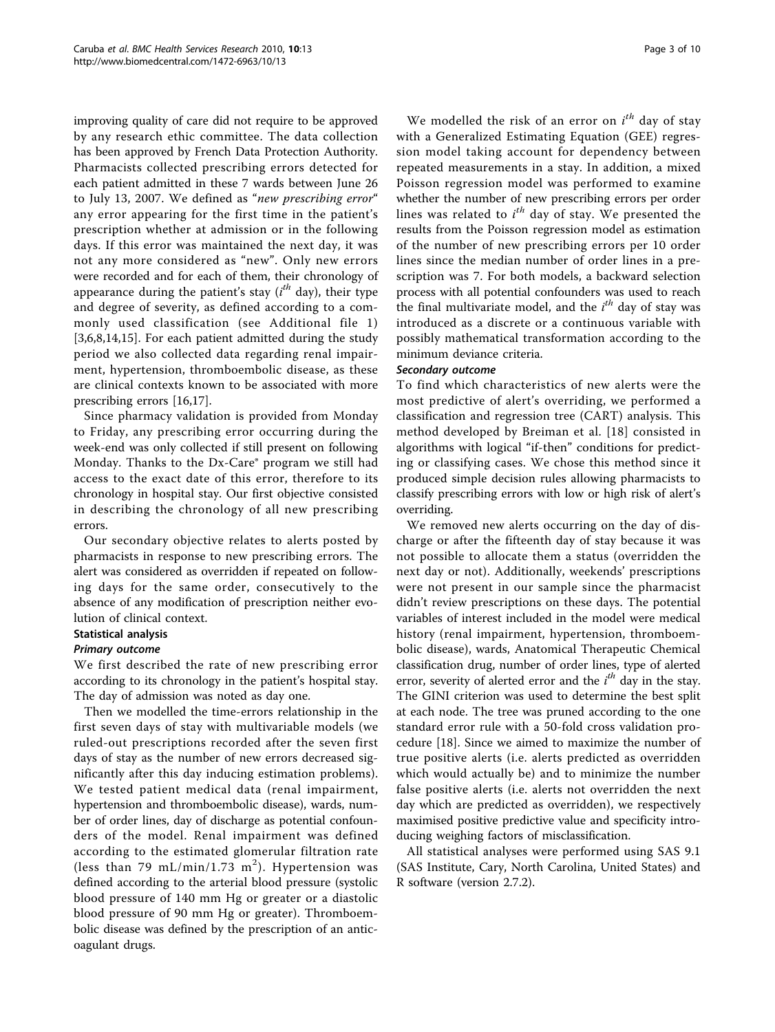improving quality of care did not require to be approved by any research ethic committee. The data collection has been approved by French Data Protection Authority. Pharmacists collected prescribing errors detected for each patient admitted in these 7 wards between June 26 to July 13, 2007. We defined as "new prescribing error" any error appearing for the first time in the patient's prescription whether at admission or in the following days. If this error was maintained the next day, it was not any more considered as "new". Only new errors were recorded and for each of them, their chronology of appearance during the patient's stay  $(i^{th})$  day), their type<br>and degree of severity, as defined according to a comand degree of severity, as defined according to a commonly used classification (see Additional file [1](#page-8-0)) [[3,6,8,14,15\]](#page-9-0). For each patient admitted during the study period we also collected data regarding renal impairment, hypertension, thromboembolic disease, as these are clinical contexts known to be associated with more prescribing errors [[16,17](#page-9-0)].

Since pharmacy validation is provided from Monday to Friday, any prescribing error occurring during the week-end was only collected if still present on following Monday. Thanks to the Dx-Care® program we still had access to the exact date of this error, therefore to its chronology in hospital stay. Our first objective consisted in describing the chronology of all new prescribing errors.

Our secondary objective relates to alerts posted by pharmacists in response to new prescribing errors. The alert was considered as overridden if repeated on following days for the same order, consecutively to the absence of any modification of prescription neither evolution of clinical context.

## Statistical analysis

## Primary outcome

We first described the rate of new prescribing error according to its chronology in the patient's hospital stay. The day of admission was noted as day one.

Then we modelled the time-errors relationship in the first seven days of stay with multivariable models (we ruled-out prescriptions recorded after the seven first days of stay as the number of new errors decreased significantly after this day inducing estimation problems). We tested patient medical data (renal impairment, hypertension and thromboembolic disease), wards, number of order lines, day of discharge as potential confounders of the model. Renal impairment was defined according to the estimated glomerular filtration rate (less than 79 mL/min/1.73 m<sup>2</sup>). Hypertension was defined according to the arterial blood pressure (systolic blood pressure of 140 mm Hg or greater or a diastolic blood pressure of 90 mm Hg or greater). Thromboembolic disease was defined by the prescription of an anticoagulant drugs.

We modelled the risk of an error on  $i^{tn}$  day of stay<br>ith a Generalized Estimating Equation (GEF) regres. with a Generalized Estimating Equation (GEE) regression model taking account for dependency between repeated measurements in a stay. In addition, a mixed Poisson regression model was performed to examine whether the number of new prescribing errors per order lines was related to  $i^{th}$  day of stay. We presented the results from the Poisson regression model as estimation results from the Poisson regression model as estimation of the number of new prescribing errors per 10 order lines since the median number of order lines in a prescription was 7. For both models, a backward selection process with all potential confounders was used to reach the final multivariate model, and the  $i^{th}$  day of stay was<br>introduced as a discrete or a continuous variable with introduced as a discrete or a continuous variable with possibly mathematical transformation according to the minimum deviance criteria.

## Secondary outcome

To find which characteristics of new alerts were the most predictive of alert's overriding, we performed a classification and regression tree (CART) analysis. This method developed by Breiman et al. [[18\]](#page-9-0) consisted in algorithms with logical "if-then" conditions for predicting or classifying cases. We chose this method since it produced simple decision rules allowing pharmacists to classify prescribing errors with low or high risk of alert's overriding.

We removed new alerts occurring on the day of discharge or after the fifteenth day of stay because it was not possible to allocate them a status (overridden the next day or not). Additionally, weekends' prescriptions were not present in our sample since the pharmacist didn't review prescriptions on these days. The potential variables of interest included in the model were medical history (renal impairment, hypertension, thromboembolic disease), wards, Anatomical Therapeutic Chemical classification drug, number of order lines, type of alerted error, severity of alerted error and the  $i^{th}$  day in the stay.<br>The GINI criterion was used to determine the best split The GINI criterion was used to determine the best split at each node. The tree was pruned according to the one standard error rule with a 50-fold cross validation procedure [[18](#page-9-0)]. Since we aimed to maximize the number of true positive alerts (i.e. alerts predicted as overridden which would actually be) and to minimize the number false positive alerts (i.e. alerts not overridden the next day which are predicted as overridden), we respectively maximised positive predictive value and specificity introducing weighing factors of misclassification.

All statistical analyses were performed using SAS 9.1 (SAS Institute, Cary, North Carolina, United States) and R software (version 2.7.2).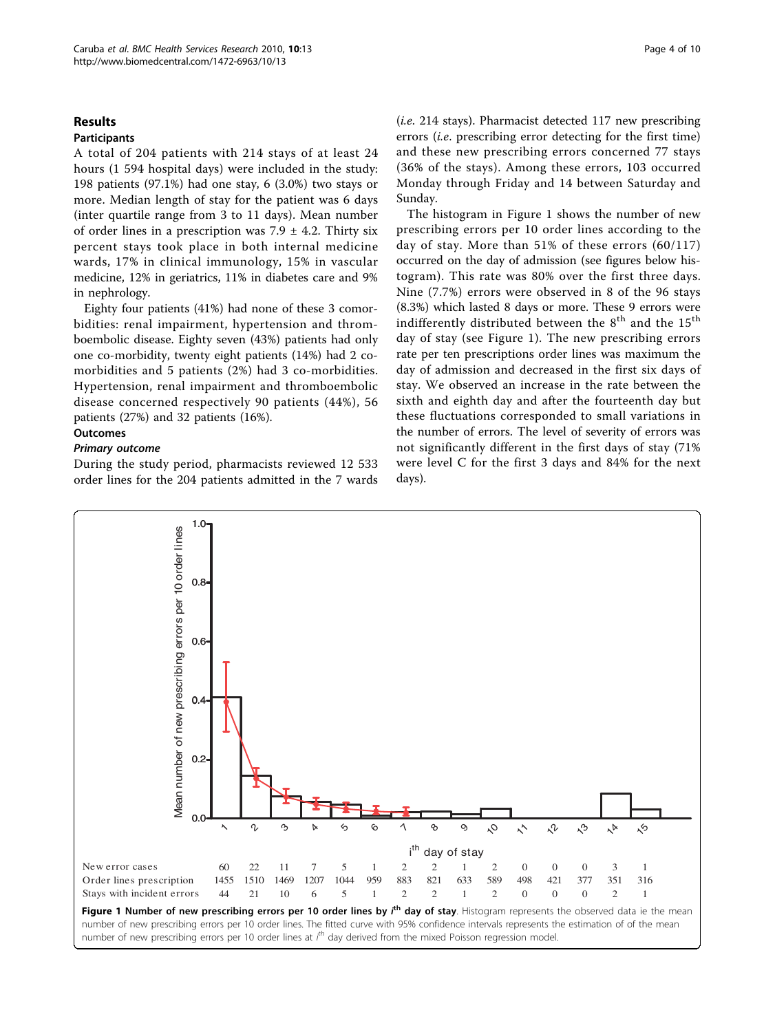## <span id="page-3-0"></span>Results

## **Participants**

A total of 204 patients with 214 stays of at least 24 hours (1 594 hospital days) were included in the study: 198 patients (97.1%) had one stay, 6 (3.0%) two stays or more. Median length of stay for the patient was 6 days (inter quartile range from 3 to 11 days). Mean number of order lines in a prescription was  $7.9 \pm 4.2$ . Thirty six percent stays took place in both internal medicine wards, 17% in clinical immunology, 15% in vascular medicine, 12% in geriatrics, 11% in diabetes care and 9% in nephrology.

Eighty four patients (41%) had none of these 3 comorbidities: renal impairment, hypertension and thromboembolic disease. Eighty seven (43%) patients had only one co-morbidity, twenty eight patients (14%) had 2 comorbidities and 5 patients (2%) had 3 co-morbidities. Hypertension, renal impairment and thromboembolic disease concerned respectively 90 patients (44%), 56 patients (27%) and 32 patients (16%).

## **Outcomes**

## Primary outcome

During the study period, pharmacists reviewed 12 533 order lines for the 204 patients admitted in the 7 wards

(i.e. 214 stays). Pharmacist detected 117 new prescribing errors (i.e. prescribing error detecting for the first time) and these new prescribing errors concerned 77 stays (36% of the stays). Among these errors, 103 occurred Monday through Friday and 14 between Saturday and Sunday.

The histogram in Figure 1 shows the number of new prescribing errors per 10 order lines according to the day of stay. More than 51% of these errors (60/117) occurred on the day of admission (see figures below histogram). This rate was 80% over the first three days. Nine (7.7%) errors were observed in 8 of the 96 stays (8.3%) which lasted 8 days or more. These 9 errors were indifferently distributed between the  $8<sup>th</sup>$  and the  $15<sup>th</sup>$ day of stay (see Figure 1). The new prescribing errors rate per ten prescriptions order lines was maximum the day of admission and decreased in the first six days of stay. We observed an increase in the rate between the sixth and eighth day and after the fourteenth day but these fluctuations corresponded to small variations in the number of errors. The level of severity of errors was not significantly different in the first days of stay (71% were level C for the first 3 days and 84% for the next days).

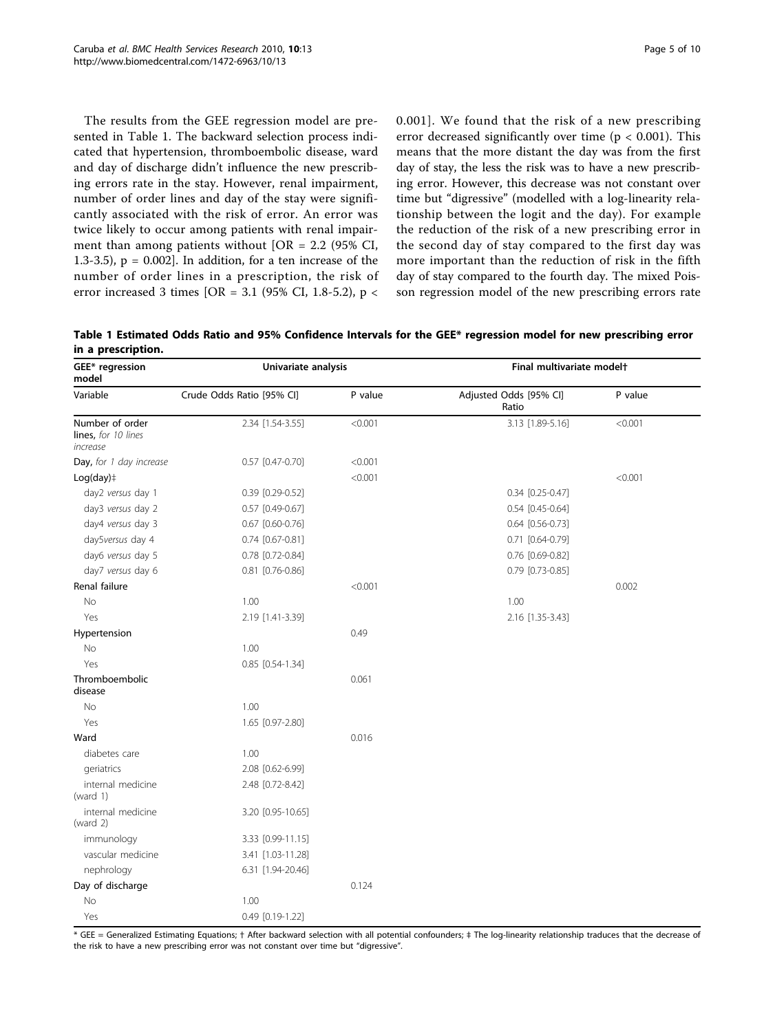The results from the GEE regression model are presented in Table 1. The backward selection process indicated that hypertension, thromboembolic disease, ward and day of discharge didn't influence the new prescribing errors rate in the stay. However, renal impairment, number of order lines and day of the stay were significantly associated with the risk of error. An error was twice likely to occur among patients with renal impairment than among patients without [OR =  $2.2$  (95% CI, 1.3-3.5),  $p = 0.002$ . In addition, for a ten increase of the number of order lines in a prescription, the risk of error increased 3 times [OR = 3.1 (95% CI, 1.8-5.2), p < 0.001]. We found that the risk of a new prescribing error decreased significantly over time ( $p < 0.001$ ). This means that the more distant the day was from the first day of stay, the less the risk was to have a new prescribing error. However, this decrease was not constant over time but "digressive" (modelled with a log-linearity relationship between the logit and the day). For example the reduction of the risk of a new prescribing error in the second day of stay compared to the first day was more important than the reduction of risk in the fifth day of stay compared to the fourth day. The mixed Poisson regression model of the new prescribing errors rate

Table 1 Estimated Odds Ratio and 95% Confidence Intervals for the GEE\* regression model for new prescribing error in a prescription.

| GEE* regression<br>model<br>Variable               | Univariate analysis       |         | Final multivariate modelt       |         |  |
|----------------------------------------------------|---------------------------|---------|---------------------------------|---------|--|
|                                                    | Crude Odds Ratio [95% CI] | P value | Adjusted Odds [95% CI]<br>Ratio | P value |  |
| Number of order<br>lines, for 10 lines<br>increase | 2.34 [1.54-3.55]          | < 0.001 | 3.13 [1.89-5.16]                | < 0.001 |  |
| Day, for 1 day increase                            | 0.57 [0.47-0.70]          | < 0.001 |                                 |         |  |
| $Log/day$ ) $\ddagger$                             |                           | < 0.001 |                                 | < 0.001 |  |
| day2 versus day 1                                  | 0.39 [0.29-0.52]          |         | $0.34$ $[0.25 - 0.47]$          |         |  |
| day3 versus day 2                                  | 0.57 [0.49-0.67]          |         | $0.54$ [0.45-0.64]              |         |  |
| day4 versus day 3                                  | 0.67 [0.60-0.76]          |         | $0.64$ [0.56-0.73]              |         |  |
| day5versus day 4                                   | 0.74 [0.67-0.81]          |         | 0.71 [0.64-0.79]                |         |  |
| day6 versus day 5                                  | 0.78 [0.72-0.84]          |         | 0.76 [0.69-0.82]                |         |  |
| day7 versus day 6                                  | 0.81 [0.76-0.86]          |         | 0.79 [0.73-0.85]                |         |  |
| Renal failure                                      |                           | < 0.001 |                                 | 0.002   |  |
| <b>No</b>                                          | 1.00                      |         | 1.00                            |         |  |
| Yes                                                | 2.19 [1.41-3.39]          |         | 2.16 [1.35-3.43]                |         |  |
| Hypertension                                       |                           | 0.49    |                                 |         |  |
| No                                                 | 1.00                      |         |                                 |         |  |
| Yes                                                | 0.85 [0.54-1.34]          |         |                                 |         |  |
| Thromboembolic<br>disease                          |                           | 0.061   |                                 |         |  |
| No                                                 | 1.00                      |         |                                 |         |  |
| Yes                                                | 1.65 [0.97-2.80]          |         |                                 |         |  |
| Ward                                               |                           | 0.016   |                                 |         |  |
| diabetes care                                      | 1.00                      |         |                                 |         |  |
| geriatrics                                         | 2.08 [0.62-6.99]          |         |                                 |         |  |
| internal medicine<br>(ward $1)$                    | 2.48 [0.72-8.42]          |         |                                 |         |  |
| internal medicine<br>(ward $2$ )                   | 3.20 [0.95-10.65]         |         |                                 |         |  |
| immunology                                         | 3.33 [0.99-11.15]         |         |                                 |         |  |
| vascular medicine                                  | 3.41 [1.03-11.28]         |         |                                 |         |  |
| nephrology                                         | 6.31 [1.94-20.46]         |         |                                 |         |  |
| Day of discharge                                   |                           | 0.124   |                                 |         |  |
| <b>No</b>                                          | 1.00                      |         |                                 |         |  |
| Yes                                                | 0.49 [0.19-1.22]          |         |                                 |         |  |

\* GEE = Generalized Estimating Equations; † After backward selection with all potential confounders; ‡ The log-linearity relationship traduces that the decrease of the risk to have a new prescribing error was not constant over time but "digressive".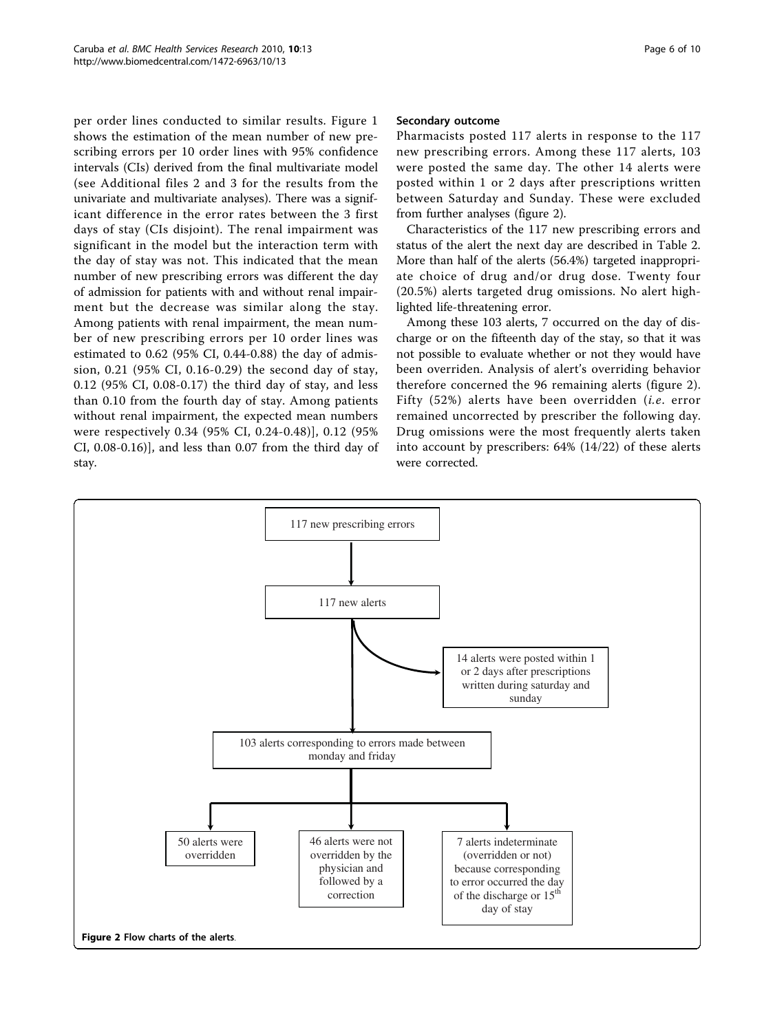per order lines conducted to similar results. Figure [1](#page-3-0) shows the estimation of the mean number of new prescribing errors per 10 order lines with 95% confidence intervals (CIs) derived from the final multivariate model (see Additional files [2](#page-8-0) and [3](#page-8-0) for the results from the univariate and multivariate analyses). There was a significant difference in the error rates between the 3 first days of stay (CIs disjoint). The renal impairment was significant in the model but the interaction term with the day of stay was not. This indicated that the mean number of new prescribing errors was different the day of admission for patients with and without renal impairment but the decrease was similar along the stay. Among patients with renal impairment, the mean number of new prescribing errors per 10 order lines was estimated to 0.62 (95% CI, 0.44-0.88) the day of admission, 0.21 (95% CI, 0.16-0.29) the second day of stay, 0.12 (95% CI, 0.08-0.17) the third day of stay, and less than 0.10 from the fourth day of stay. Among patients without renal impairment, the expected mean numbers were respectively 0.34 (95% CI, 0.24-0.48)], 0.12 (95% CI, 0.08-0.16)], and less than 0.07 from the third day of stay.

#### Secondary outcome

Pharmacists posted 117 alerts in response to the 117 new prescribing errors. Among these 117 alerts, 103 were posted the same day. The other 14 alerts were posted within 1 or 2 days after prescriptions written between Saturday and Sunday. These were excluded from further analyses (figure 2).

Characteristics of the 117 new prescribing errors and status of the alert the next day are described in Table [2](#page-6-0). More than half of the alerts (56.4%) targeted inappropriate choice of drug and/or drug dose. Twenty four (20.5%) alerts targeted drug omissions. No alert highlighted life-threatening error.

Among these 103 alerts, 7 occurred on the day of discharge or on the fifteenth day of the stay, so that it was not possible to evaluate whether or not they would have been overriden. Analysis of alert's overriding behavior therefore concerned the 96 remaining alerts (figure 2). Fifty (52%) alerts have been overridden (i.e. error remained uncorrected by prescriber the following day. Drug omissions were the most frequently alerts taken into account by prescribers: 64% (14/22) of these alerts were corrected.

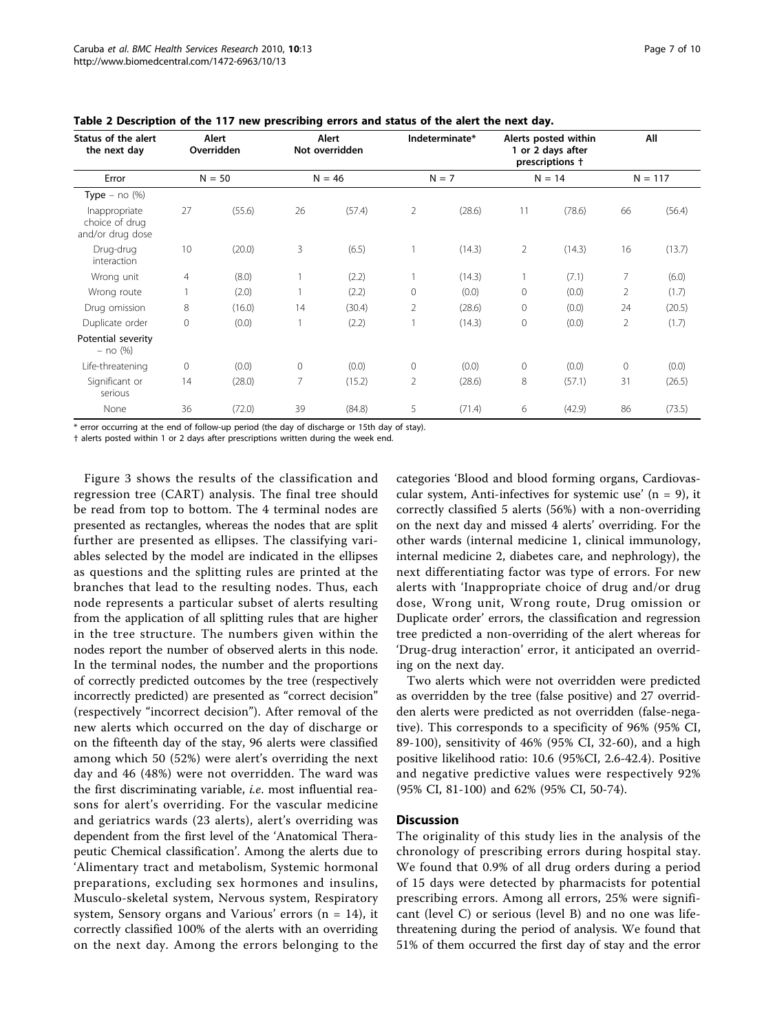| Status of the alert<br>the next day                 | Alert<br>Overridden<br>$N = 50$ |        | Alert<br>Not overridden<br>$N = 46$ |        | Indeterminate*<br>$N = 7$ |        | Alerts posted within<br>1 or 2 days after<br>prescriptions +<br>$N = 14$ |        | All<br>$N = 117$ |        |
|-----------------------------------------------------|---------------------------------|--------|-------------------------------------|--------|---------------------------|--------|--------------------------------------------------------------------------|--------|------------------|--------|
| Error                                               |                                 |        |                                     |        |                           |        |                                                                          |        |                  |        |
| Type $-$ no $(\%)$                                  |                                 |        |                                     |        |                           |        |                                                                          |        |                  |        |
| Inappropriate<br>choice of drug<br>and/or drug dose | 27                              | (55.6) | 26                                  | (57.4) | 2                         | (28.6) | 11                                                                       | (78.6) | 66               | (56.4) |
| Drug-drug<br>interaction                            | 10                              | (20.0) | 3                                   | (6.5)  |                           | (14.3) | $\overline{2}$                                                           | (14.3) | 16               | (13.7) |
| Wrong unit                                          | $\overline{4}$                  | (8.0)  |                                     | (2.2)  |                           | (14.3) |                                                                          | (7.1)  | 7                | (6.0)  |
| Wrong route                                         |                                 | (2.0)  |                                     | (2.2)  | 0                         | (0.0)  | $\mathbf{0}$                                                             | (0.0)  | 2                | (1.7)  |
| Drug omission                                       | 8                               | (16.0) | 14                                  | (30.4) | 2                         | (28.6) | $\mathbf{0}$                                                             | (0.0)  | 24               | (20.5) |
| Duplicate order                                     | $\mathbf{0}$                    | (0.0)  |                                     | (2.2)  |                           | (14.3) | $\mathbf{0}$                                                             | (0.0)  | $\overline{2}$   | (1.7)  |
| Potential severity<br>$-$ no $(%)$                  |                                 |        |                                     |        |                           |        |                                                                          |        |                  |        |
| Life-threatening                                    | $\circ$                         | (0.0)  | 0                                   | (0.0)  | $\mathbf{0}$              | (0.0)  | $\mathbf{0}$                                                             | (0.0)  | $\circ$          | (0.0)  |
| Significant or<br>serious                           | 14                              | (28.0) | 7                                   | (15.2) | 2                         | (28.6) | 8                                                                        | (57.1) | 31               | (26.5) |
| None                                                | 36                              | (72.0) | 39                                  | (84.8) | 5                         | (71.4) | 6                                                                        | (42.9) | 86               | (73.5) |

<span id="page-6-0"></span>Table 2 Description of the 117 new prescribing errors and status of the alert the next day.

\* error occurring at the end of follow-up period (the day of discharge or 15th day of stay).

† alerts posted within 1 or 2 days after prescriptions written during the week end.

Figure [3](#page-7-0) shows the results of the classification and regression tree (CART) analysis. The final tree should be read from top to bottom. The 4 terminal nodes are presented as rectangles, whereas the nodes that are split further are presented as ellipses. The classifying variables selected by the model are indicated in the ellipses as questions and the splitting rules are printed at the branches that lead to the resulting nodes. Thus, each node represents a particular subset of alerts resulting from the application of all splitting rules that are higher in the tree structure. The numbers given within the nodes report the number of observed alerts in this node. In the terminal nodes, the number and the proportions of correctly predicted outcomes by the tree (respectively incorrectly predicted) are presented as "correct decision" (respectively "incorrect decision"). After removal of the new alerts which occurred on the day of discharge or on the fifteenth day of the stay, 96 alerts were classified among which 50 (52%) were alert's overriding the next day and 46 (48%) were not overridden. The ward was the first discriminating variable, *i.e.* most influential reasons for alert's overriding. For the vascular medicine and geriatrics wards (23 alerts), alert's overriding was dependent from the first level of the 'Anatomical Therapeutic Chemical classification'. Among the alerts due to 'Alimentary tract and metabolism, Systemic hormonal preparations, excluding sex hormones and insulins, Musculo-skeletal system, Nervous system, Respiratory system, Sensory organs and Various' errors  $(n = 14)$ , it correctly classified 100% of the alerts with an overriding on the next day. Among the errors belonging to the categories 'Blood and blood forming organs, Cardiovascular system, Anti-infectives for systemic use'  $(n = 9)$ , it correctly classified 5 alerts (56%) with a non-overriding on the next day and missed 4 alerts' overriding. For the other wards (internal medicine 1, clinical immunology, internal medicine 2, diabetes care, and nephrology), the next differentiating factor was type of errors. For new alerts with 'Inappropriate choice of drug and/or drug dose, Wrong unit, Wrong route, Drug omission or Duplicate order' errors, the classification and regression tree predicted a non-overriding of the alert whereas for 'Drug-drug interaction' error, it anticipated an overriding on the next day.

Two alerts which were not overridden were predicted as overridden by the tree (false positive) and 27 overridden alerts were predicted as not overridden (false-negative). This corresponds to a specificity of 96% (95% CI, 89-100), sensitivity of 46% (95% CI, 32-60), and a high positive likelihood ratio: 10.6 (95%CI, 2.6-42.4). Positive and negative predictive values were respectively 92% (95% CI, 81-100) and 62% (95% CI, 50-74).

## **Discussion**

The originality of this study lies in the analysis of the chronology of prescribing errors during hospital stay. We found that 0.9% of all drug orders during a period of 15 days were detected by pharmacists for potential prescribing errors. Among all errors, 25% were significant (level C) or serious (level B) and no one was lifethreatening during the period of analysis. We found that 51% of them occurred the first day of stay and the error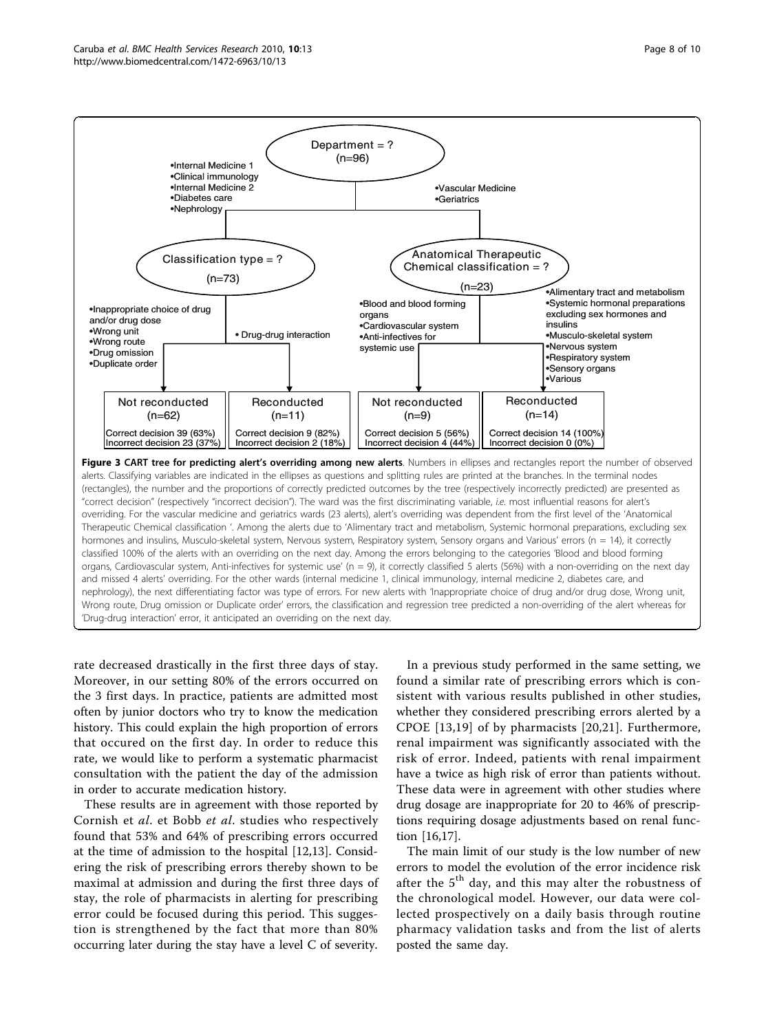<span id="page-7-0"></span>

rate decreased drastically in the first three days of stay. Moreover, in our setting 80% of the errors occurred on the 3 first days. In practice, patients are admitted most often by junior doctors who try to know the medication history. This could explain the high proportion of errors that occured on the first day. In order to reduce this rate, we would like to perform a systematic pharmacist consultation with the patient the day of the admission in order to accurate medication history.

These results are in agreement with those reported by Cornish et al. et Bobb et al. studies who respectively found that 53% and 64% of prescribing errors occurred at the time of admission to the hospital [[12,13\]](#page-9-0). Considering the risk of prescribing errors thereby shown to be maximal at admission and during the first three days of stay, the role of pharmacists in alerting for prescribing error could be focused during this period. This suggestion is strengthened by the fact that more than 80% occurring later during the stay have a level C of severity.

In a previous study performed in the same setting, we found a similar rate of prescribing errors which is consistent with various results published in other studies, whether they considered prescribing errors alerted by a CPOE [[13,19](#page-9-0)] of by pharmacists [\[20,21](#page-9-0)]. Furthermore, renal impairment was significantly associated with the risk of error. Indeed, patients with renal impairment have a twice as high risk of error than patients without. These data were in agreement with other studies where drug dosage are inappropriate for 20 to 46% of prescriptions requiring dosage adjustments based on renal function [\[16,17\]](#page-9-0).

The main limit of our study is the low number of new errors to model the evolution of the error incidence risk after the 5<sup>th</sup> day, and this may alter the robustness of the chronological model. However, our data were collected prospectively on a daily basis through routine pharmacy validation tasks and from the list of alerts posted the same day.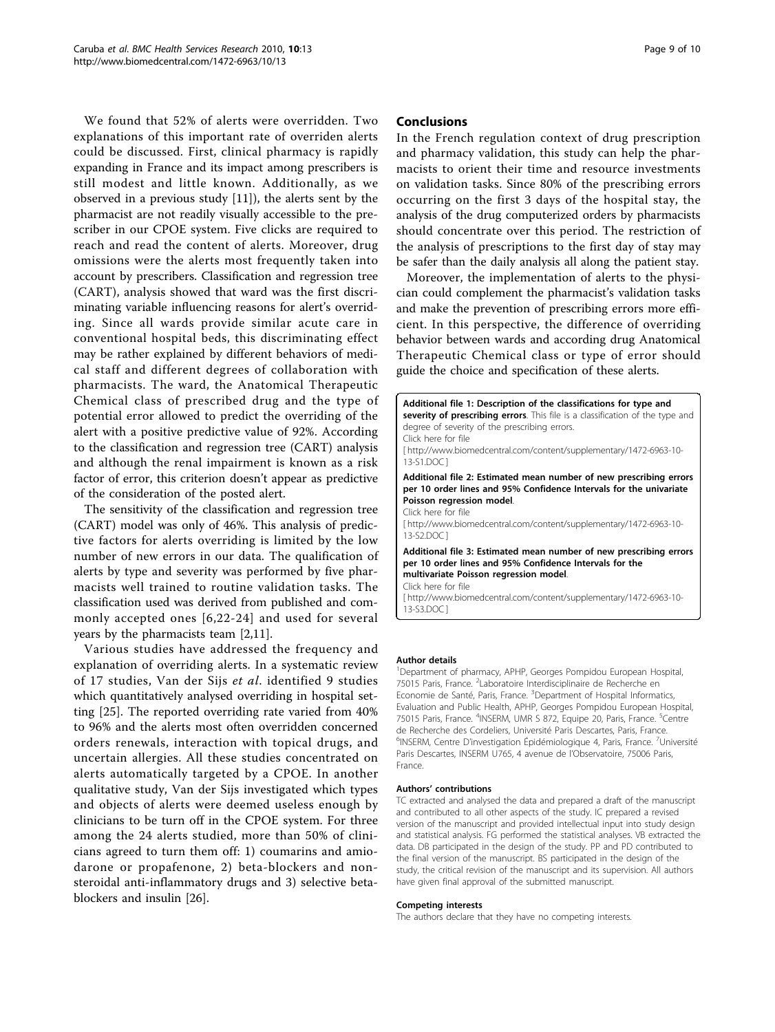<span id="page-8-0"></span>We found that 52% of alerts were overridden. Two explanations of this important rate of overriden alerts could be discussed. First, clinical pharmacy is rapidly expanding in France and its impact among prescribers is still modest and little known. Additionally, as we observed in a previous study [[11](#page-9-0)]), the alerts sent by the pharmacist are not readily visually accessible to the prescriber in our CPOE system. Five clicks are required to reach and read the content of alerts. Moreover, drug omissions were the alerts most frequently taken into account by prescribers. Classification and regression tree (CART), analysis showed that ward was the first discriminating variable influencing reasons for alert's overriding. Since all wards provide similar acute care in conventional hospital beds, this discriminating effect may be rather explained by different behaviors of medical staff and different degrees of collaboration with pharmacists. The ward, the Anatomical Therapeutic Chemical class of prescribed drug and the type of potential error allowed to predict the overriding of the alert with a positive predictive value of 92%. According to the classification and regression tree (CART) analysis and although the renal impairment is known as a risk factor of error, this criterion doesn't appear as predictive of the consideration of the posted alert.

The sensitivity of the classification and regression tree (CART) model was only of 46%. This analysis of predictive factors for alerts overriding is limited by the low number of new errors in our data. The qualification of alerts by type and severity was performed by five pharmacists well trained to routine validation tasks. The classification used was derived from published and commonly accepted ones [[6](#page-9-0),[22](#page-9-0)-[24\]](#page-9-0) and used for several years by the pharmacists team [[2](#page-9-0),[11](#page-9-0)].

Various studies have addressed the frequency and explanation of overriding alerts. In a systematic review of 17 studies, Van der Sijs et al. identified 9 studies which quantitatively analysed overriding in hospital setting [\[25](#page-9-0)]. The reported overriding rate varied from 40% to 96% and the alerts most often overridden concerned orders renewals, interaction with topical drugs, and uncertain allergies. All these studies concentrated on alerts automatically targeted by a CPOE. In another qualitative study, Van der Sijs investigated which types and objects of alerts were deemed useless enough by clinicians to be turn off in the CPOE system. For three among the 24 alerts studied, more than 50% of clinicians agreed to turn them off: 1) coumarins and amiodarone or propafenone, 2) beta-blockers and nonsteroidal anti-inflammatory drugs and 3) selective betablockers and insulin [[26\]](#page-9-0).

### Conclusions

In the French regulation context of drug prescription and pharmacy validation, this study can help the pharmacists to orient their time and resource investments on validation tasks. Since 80% of the prescribing errors occurring on the first 3 days of the hospital stay, the analysis of the drug computerized orders by pharmacists should concentrate over this period. The restriction of the analysis of prescriptions to the first day of stay may be safer than the daily analysis all along the patient stay.

Moreover, the implementation of alerts to the physician could complement the pharmacist's validation tasks and make the prevention of prescribing errors more efficient. In this perspective, the difference of overriding behavior between wards and according drug Anatomical Therapeutic Chemical class or type of error should guide the choice and specification of these alerts.

Additional file 1: Description of the classifications for type and severity of prescribing errors. This file is a classification of the type and degree of severity of the prescribing errors. Click here for file [ http://www.biomedcentral.com/content/supplementary/1472-6963-10- 13-S1.DOC ] Additional file 2: Estimated mean number of new prescribing errors per 10 order lines and 95% Confidence Intervals for the univariate Poisson regression model. Click here for file [ http://www.biomedcentral.com/content/supplementary/1472-6963-10- 13-S2.DOC ] Additional file 3: Estimated mean number of new prescribing errors per 10 order lines and 95% Confidence Intervals for the multivariate Poisson regression model. Click here for file [ http://www.biomedcentral.com/content/supplementary/1472-6963-10- 13-S3.DOC ]

#### Author details

<sup>1</sup>Department of pharmacy, APHP, Georges Pompidou European Hospital 75015 Paris, France. <sup>2</sup>Laboratoire Interdisciplinaire de Recherche en Economie de Santé, Paris, France. <sup>3</sup>Department of Hospital Informatics, Evaluation and Public Health, APHP, Georges Pompidou European Hospital, 75015 Paris, France. <sup>4</sup>INSERM, UMR S 872, Equipe 20, Paris, France. <sup>5</sup>Centre de Recherche des Cordeliers, Université Paris Descartes, Paris, France. <sup>6</sup>INSERM, Centre D'investigation Épidémiologique 4, Paris, France. <sup>7</sup>Université Paris Descartes, INSERM U765, 4 avenue de l'Observatoire, 75006 Paris, France.

#### Authors' contributions

TC extracted and analysed the data and prepared a draft of the manuscript and contributed to all other aspects of the study. IC prepared a revised version of the manuscript and provided intellectual input into study design and statistical analysis. FG performed the statistical analyses. VB extracted the data. DB participated in the design of the study. PP and PD contributed to the final version of the manuscript. BS participated in the design of the study, the critical revision of the manuscript and its supervision. All authors have given final approval of the submitted manuscript.

#### Competing interests

The authors declare that they have no competing interests.